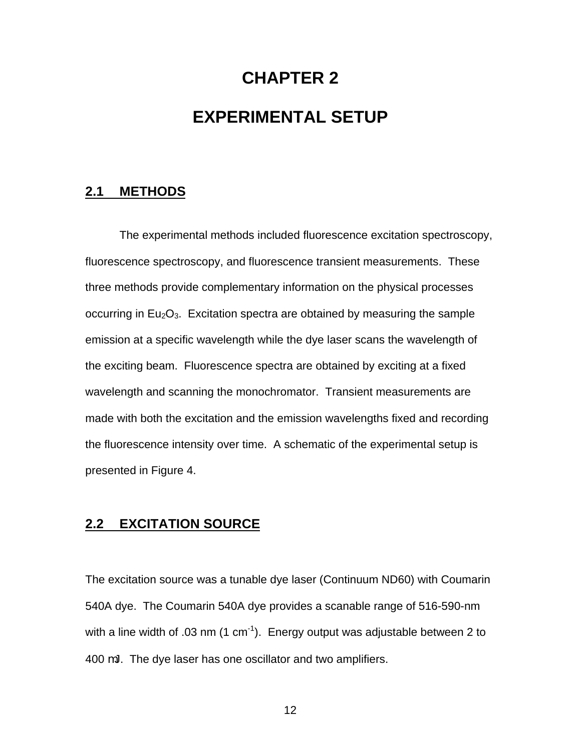# **CHAPTER 2**

# **EXPERIMENTAL SETUP**

## **2.1 METHODS**

The experimental methods included fluorescence excitation spectroscopy, fluorescence spectroscopy, and fluorescence transient measurements. These three methods provide complementary information on the physical processes occurring in  $Eu_2O_3$ . Excitation spectra are obtained by measuring the sample emission at a specific wavelength while the dye laser scans the wavelength of the exciting beam. Fluorescence spectra are obtained by exciting at a fixed wavelength and scanning the monochromator. Transient measurements are made with both the excitation and the emission wavelengths fixed and recording the fluorescence intensity over time. A schematic of the experimental setup is presented in Figure 4.

## **2.2 EXCITATION SOURCE**

The excitation source was a tunable dye laser (Continuum ND60) with Coumarin 540A dye. The Coumarin 540A dye provides a scanable range of 516-590-nm with a line width of .03 nm  $(1 \text{ cm}^{-1})$ . Energy output was adjustable between 2 to 400 mJ. The dye laser has one oscillator and two amplifiers.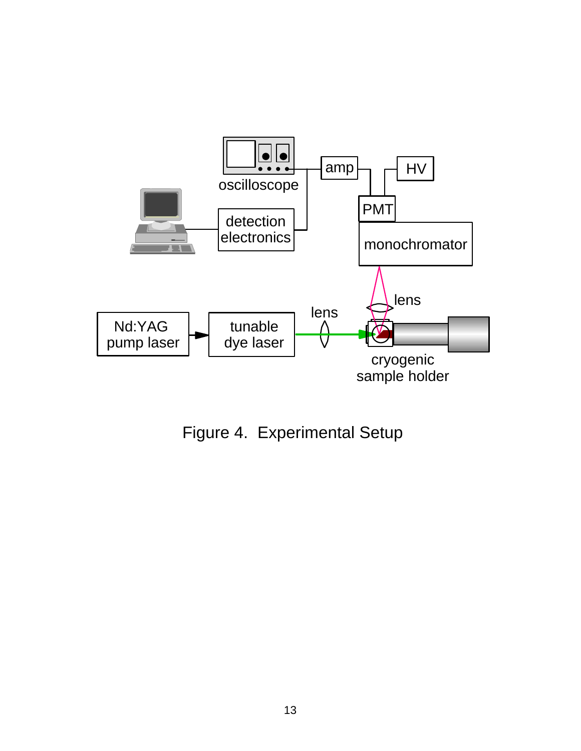

Figure 4. Experimental Setup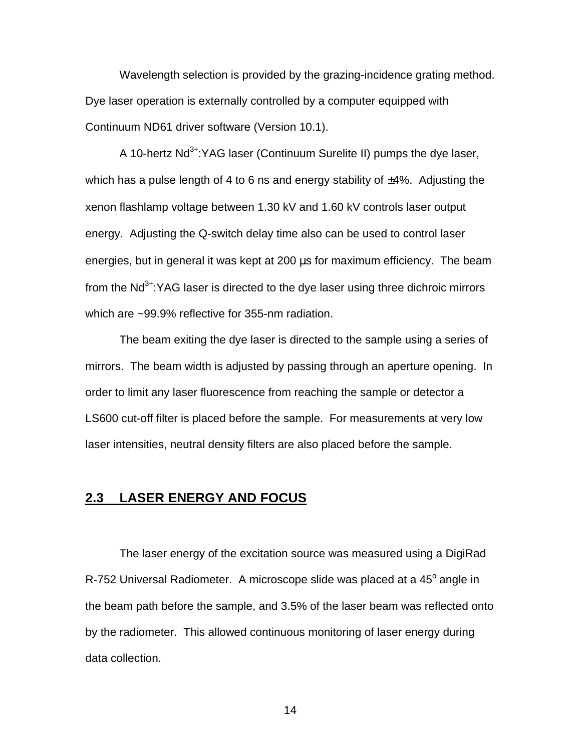Wavelength selection is provided by the grazing-incidence grating method. Dye laser operation is externally controlled by a computer equipped with Continuum ND61 driver software (Version 10.1).

A 10-hertz  $Nd^{3+}$ :YAG laser (Continuum Surelite II) pumps the dye laser, which has a pulse length of 4 to 6 ns and energy stability of  $\pm$ 4%. Adjusting the xenon flashlamp voltage between 1.30 kV and 1.60 kV controls laser output energy. Adjusting the Q-switch delay time also can be used to control laser energies, but in general it was kept at 200 μs for maximum efficiency. The beam from the  $Nd^{3+}$ :YAG laser is directed to the dve laser using three dichroic mirrors which are ~99.9% reflective for 355-nm radiation.

The beam exiting the dye laser is directed to the sample using a series of mirrors. The beam width is adjusted by passing through an aperture opening. In order to limit any laser fluorescence from reaching the sample or detector a LS600 cut-off filter is placed before the sample. For measurements at very low laser intensities, neutral density filters are also placed before the sample.

# **2.3 LASER ENERGY AND FOCUS**

The laser energy of the excitation source was measured using a DigiRad R-752 Universal Radiometer. A microscope slide was placed at a 45<sup>°</sup> angle in the beam path before the sample, and 3.5% of the laser beam was reflected onto by the radiometer. This allowed continuous monitoring of laser energy during data collection.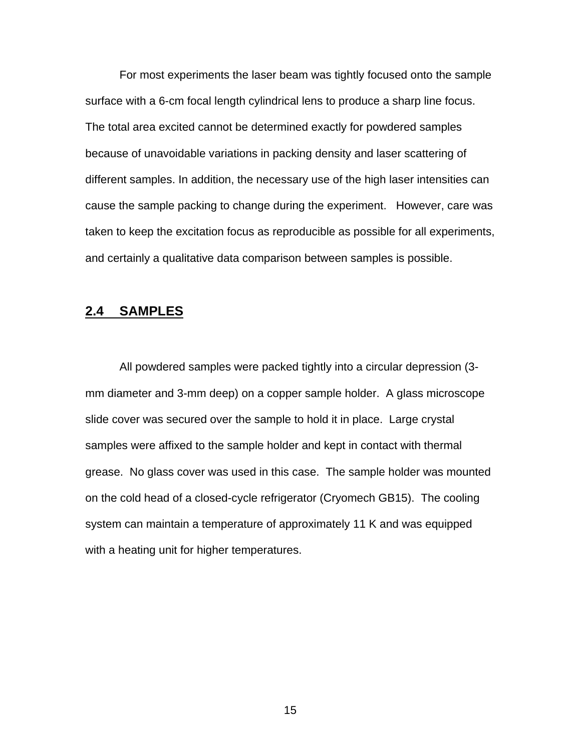For most experiments the laser beam was tightly focused onto the sample surface with a 6-cm focal length cylindrical lens to produce a sharp line focus. The total area excited cannot be determined exactly for powdered samples because of unavoidable variations in packing density and laser scattering of different samples. In addition, the necessary use of the high laser intensities can cause the sample packing to change during the experiment. However, care was taken to keep the excitation focus as reproducible as possible for all experiments, and certainly a qualitative data comparison between samples is possible.

### **2.4 SAMPLES**

All powdered samples were packed tightly into a circular depression (3 mm diameter and 3-mm deep) on a copper sample holder. A glass microscope slide cover was secured over the sample to hold it in place. Large crystal samples were affixed to the sample holder and kept in contact with thermal grease. No glass cover was used in this case. The sample holder was mounted on the cold head of a closed-cycle refrigerator (Cryomech GB15). The cooling system can maintain a temperature of approximately 11 K and was equipped with a heating unit for higher temperatures.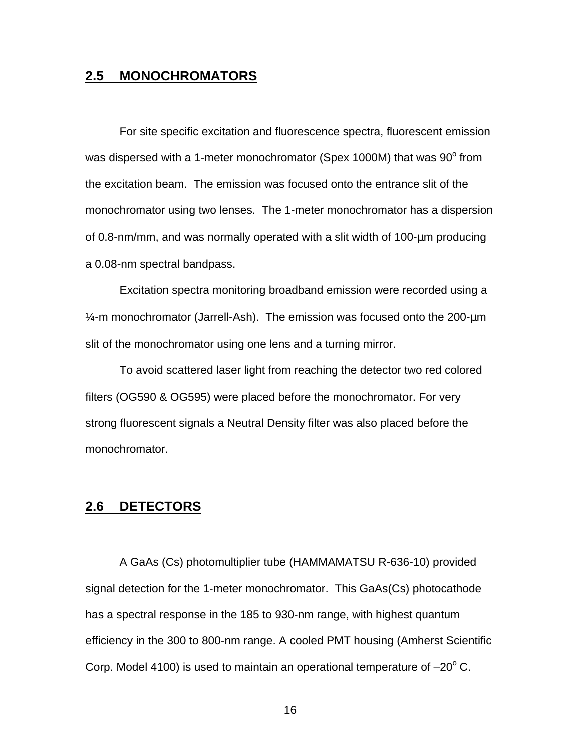### **2.5 MONOCHROMATORS**

For site specific excitation and fluorescence spectra, fluorescent emission was dispersed with a 1-meter monochromator (Spex 1000M) that was  $90^{\circ}$  from the excitation beam. The emission was focused onto the entrance slit of the monochromator using two lenses. The 1-meter monochromator has a dispersion of 0.8-nm/mm, and was normally operated with a slit width of 100-μm producing a 0.08-nm spectral bandpass.

Excitation spectra monitoring broadband emission were recorded using a  $\frac{1}{4}$ -m monochromator (Jarrell-Ash). The emission was focused onto the 200- $\mu$ m slit of the monochromator using one lens and a turning mirror.

To avoid scattered laser light from reaching the detector two red colored filters (OG590 & OG595) were placed before the monochromator. For very strong fluorescent signals a Neutral Density filter was also placed before the monochromator.

# **2.6 DETECTORS**

A GaAs (Cs) photomultiplier tube (HAMMAMATSU R-636-10) provided signal detection for the 1-meter monochromator. This GaAs(Cs) photocathode has a spectral response in the 185 to 930-nm range, with highest quantum efficiency in the 300 to 800-nm range. A cooled PMT housing (Amherst Scientific Corp. Model 4100) is used to maintain an operational temperature of  $-20^{\circ}$  C.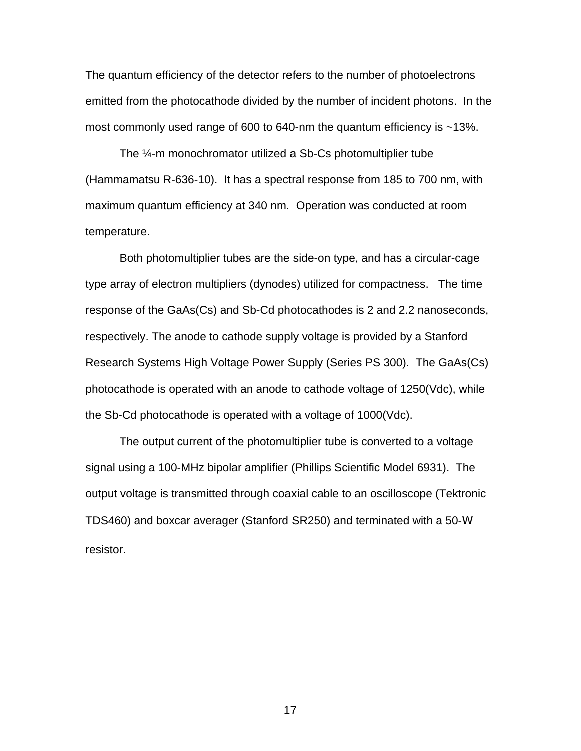The quantum efficiency of the detector refers to the number of photoelectrons emitted from the photocathode divided by the number of incident photons. In the most commonly used range of 600 to 640-nm the quantum efficiency is ~13%.

The ¼-m monochromator utilized a Sb-Cs photomultiplier tube (Hammamatsu R-636-10). It has a spectral response from 185 to 700 nm, with maximum quantum efficiency at 340 nm. Operation was conducted at room temperature.

Both photomultiplier tubes are the side-on type, and has a circular-cage type array of electron multipliers (dynodes) utilized for compactness. The time response of the GaAs(Cs) and Sb-Cd photocathodes is 2 and 2.2 nanoseconds, respectively. The anode to cathode supply voltage is provided by a Stanford Research Systems High Voltage Power Supply (Series PS 300). The GaAs(Cs) photocathode is operated with an anode to cathode voltage of 1250(Vdc), while the Sb-Cd photocathode is operated with a voltage of 1000(Vdc).

The output current of the photomultiplier tube is converted to a voltage signal using a 100-MHz bipolar amplifier (Phillips Scientific Model 6931). The output voltage is transmitted through coaxial cable to an oscilloscope (Tektronic TDS460) and boxcar averager (Stanford SR250) and terminated with a 50-W resistor.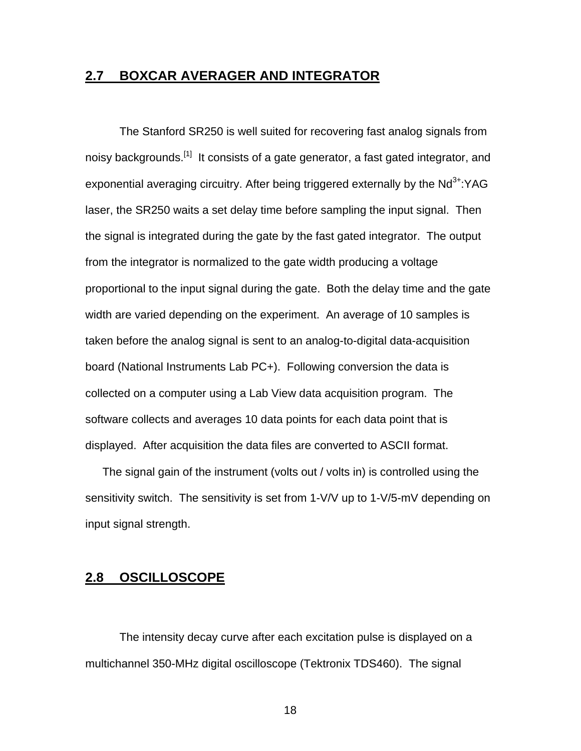### **2.7 BOXCAR AVERAGER AND INTEGRATOR**

The Stanford SR250 is well suited for recovering fast analog signals from noisy backgrounds.<sup>[1]</sup> It consists of a gate generator, a fast gated integrator, and exponential averaging circuitry. After being triggered externally by the  $Nd^{3+}$ :YAG laser, the SR250 waits a set delay time before sampling the input signal. Then the signal is integrated during the gate by the fast gated integrator. The output from the integrator is normalized to the gate width producing a voltage proportional to the input signal during the gate. Both the delay time and the gate width are varied depending on the experiment. An average of 10 samples is taken before the analog signal is sent to an analog-to-digital data-acquisition board (National Instruments Lab PC+). Following conversion the data is collected on a computer using a Lab View data acquisition program. The software collects and averages 10 data points for each data point that is displayed. After acquisition the data files are converted to ASCII format.

The signal gain of the instrument (volts out / volts in) is controlled using the sensitivity switch. The sensitivity is set from 1-V/V up to 1-V/5-mV depending on input signal strength.

# **2.8 OSCILLOSCOPE**

The intensity decay curve after each excitation pulse is displayed on a multichannel 350-MHz digital oscilloscope (Tektronix TDS460). The signal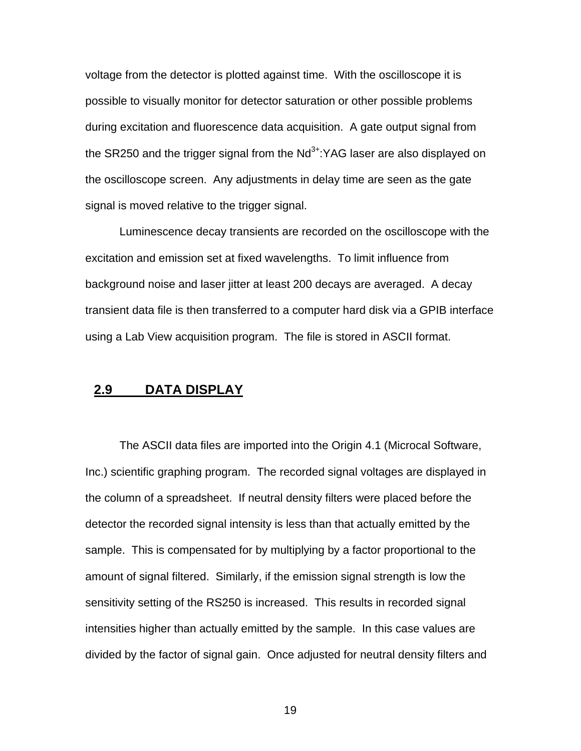voltage from the detector is plotted against time. With the oscilloscope it is possible to visually monitor for detector saturation or other possible problems during excitation and fluorescence data acquisition. A gate output signal from the SR250 and the trigger signal from the  $Nd^{3+}$ :YAG laser are also displayed on the oscilloscope screen. Any adjustments in delay time are seen as the gate signal is moved relative to the trigger signal.

Luminescence decay transients are recorded on the oscilloscope with the excitation and emission set at fixed wavelengths. To limit influence from background noise and laser jitter at least 200 decays are averaged. A decay transient data file is then transferred to a computer hard disk via a GPIB interface using a Lab View acquisition program. The file is stored in ASCII format.

### **2.9 DATA DISPLAY**

The ASCII data files are imported into the Origin 4.1 (Microcal Software, Inc.) scientific graphing program. The recorded signal voltages are displayed in the column of a spreadsheet. If neutral density filters were placed before the detector the recorded signal intensity is less than that actually emitted by the sample. This is compensated for by multiplying by a factor proportional to the amount of signal filtered. Similarly, if the emission signal strength is low the sensitivity setting of the RS250 is increased. This results in recorded signal intensities higher than actually emitted by the sample. In this case values are divided by the factor of signal gain. Once adjusted for neutral density filters and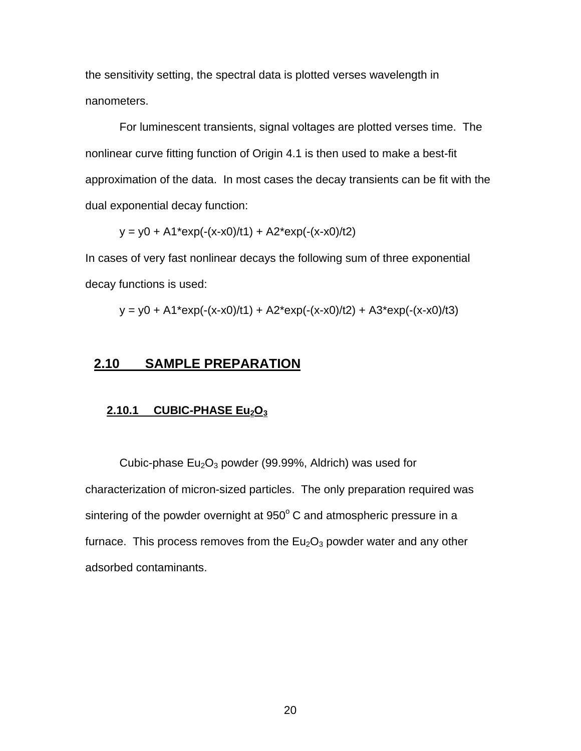the sensitivity setting, the spectral data is plotted verses wavelength in nanometers.

For luminescent transients, signal voltages are plotted verses time. The nonlinear curve fitting function of Origin 4.1 is then used to make a best-fit approximation of the data. In most cases the decay transients can be fit with the dual exponential decay function:

 $y = y0 + A1*exp(-(x-x0)/t1) + A2*exp(-(x-x0)/t2)$ 

In cases of very fast nonlinear decays the following sum of three exponential decay functions is used:

$$
y = y0 + A1*exp(-(x-x0)/t1) + A2*exp(-(x-x0)/t2) + A3*exp(-(x-x0)/t3)
$$

## **2.10 SAMPLE PREPARATION**

#### **2.10.1 CUBIC-PHASE Eu2O<sup>3</sup>**

Cubic-phase  $Eu_2O_3$  powder (99.99%, Aldrich) was used for characterization of micron-sized particles. The only preparation required was sintering of the powder overnight at  $950^{\circ}$  C and atmospheric pressure in a furnace. This process removes from the  $Eu<sub>2</sub>O<sub>3</sub>$  powder water and any other adsorbed contaminants.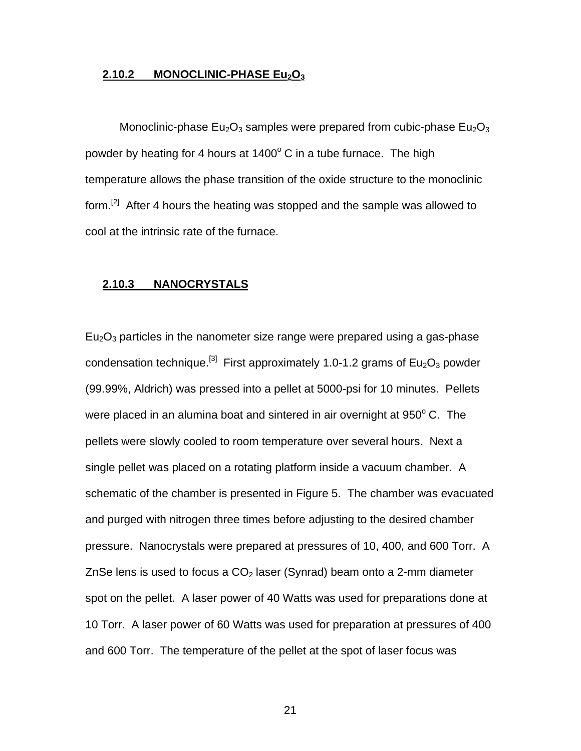### **2.10.2 MONOCLINIC-PHASE Eu2O<sup>3</sup>**

Monoclinic-phase  $Eu_2O_3$  samples were prepared from cubic-phase  $Eu_2O_3$ powder by heating for 4 hours at  $1400^{\circ}$  C in a tube furnace. The high temperature allows the phase transition of the oxide structure to the monoclinic form.<sup>[2]</sup> After 4 hours the heating was stopped and the sample was allowed to cool at the intrinsic rate of the furnace.

#### **2.10.3 NANOCRYSTALS**

 $Eu<sub>2</sub>O<sub>3</sub>$  particles in the nanometer size range were prepared using a gas-phase condensation technique.<sup>[3]</sup> First approximately 1.0-1.2 grams of Eu<sub>2</sub>O<sub>3</sub> powder (99.99%, Aldrich) was pressed into a pellet at 5000-psi for 10 minutes. Pellets were placed in an alumina boat and sintered in air overnight at  $950^{\circ}$  C. The pellets were slowly cooled to room temperature over several hours. Next a single pellet was placed on a rotating platform inside a vacuum chamber. A schematic of the chamber is presented in Figure 5. The chamber was evacuated and purged with nitrogen three times before adjusting to the desired chamber pressure. Nanocrystals were prepared at pressures of 10, 400, and 600 Torr. A ZnSe lens is used to focus a  $CO<sub>2</sub>$  laser (Synrad) beam onto a 2-mm diameter spot on the pellet. A laser power of 40 Watts was used for preparations done at 10 Torr. A laser power of 60 Watts was used for preparation at pressures of 400 and 600 Torr. The temperature of the pellet at the spot of laser focus was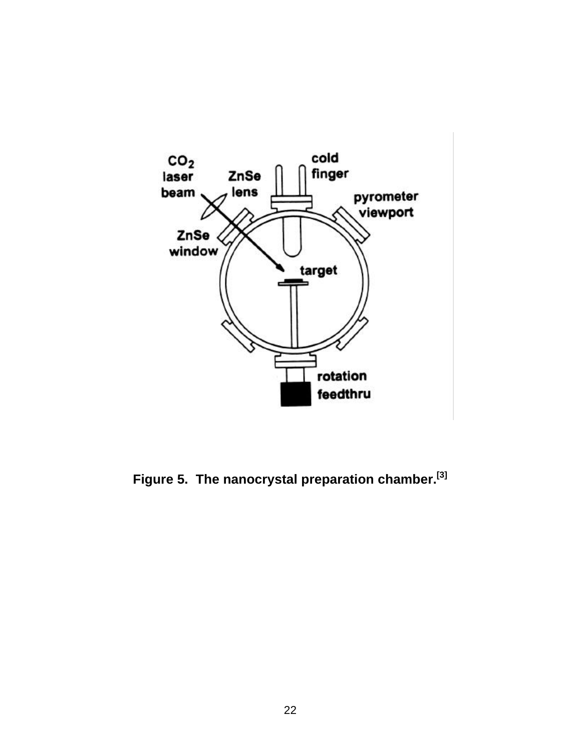

**Figure 5. The nanocrystal preparation chamber. [3]**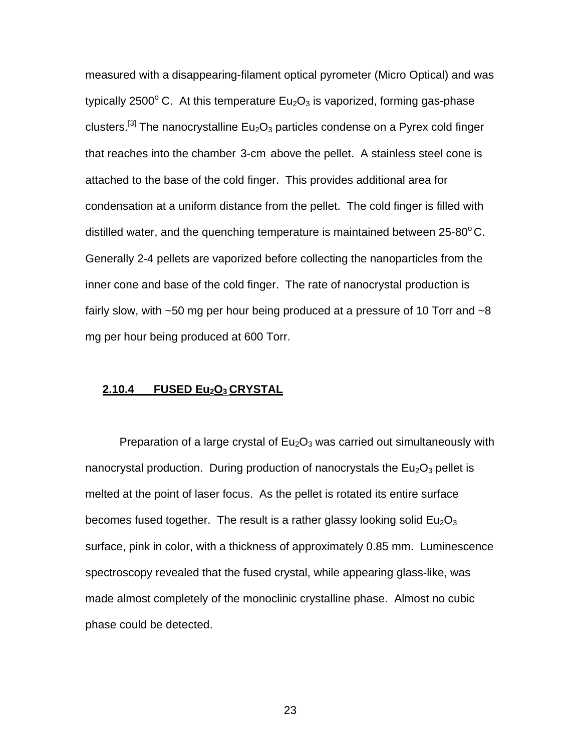measured with a disappearing-filament optical pyrometer (Micro Optical) and was typically 2500 $^{\circ}$  C. At this temperature Eu<sub>2</sub>O<sub>3</sub> is vaporized, forming gas-phase clusters.<sup>[3]</sup> The nanocrystalline  $Eu_2O_3$  particles condense on a Pyrex cold finger that reaches into the chamber 3-cm above the pellet. A stainless steel cone is attached to the base of the cold finger. This provides additional area for condensation at a uniform distance from the pellet. The cold finger is filled with distilled water, and the quenching temperature is maintained between  $25-80^{\circ}$ C. Generally 2-4 pellets are vaporized before collecting the nanoparticles from the inner cone and base of the cold finger. The rate of nanocrystal production is fairly slow, with  $\sim$ 50 mg per hour being produced at a pressure of 10 Torr and  $\sim$ 8 mg per hour being produced at 600 Torr.

### **2.10.4 FUSED Eu2O3 CRYSTAL**

Preparation of a large crystal of  $Eu<sub>2</sub>O<sub>3</sub>$  was carried out simultaneously with nanocrystal production. During production of nanocrystals the  $Eu<sub>2</sub>O<sub>3</sub>$  pellet is melted at the point of laser focus. As the pellet is rotated its entire surface becomes fused together. The result is a rather glassy looking solid  $Eu<sub>2</sub>O<sub>3</sub>$ surface, pink in color, with a thickness of approximately 0.85 mm. Luminescence spectroscopy revealed that the fused crystal, while appearing glass-like, was made almost completely of the monoclinic crystalline phase. Almost no cubic phase could be detected.